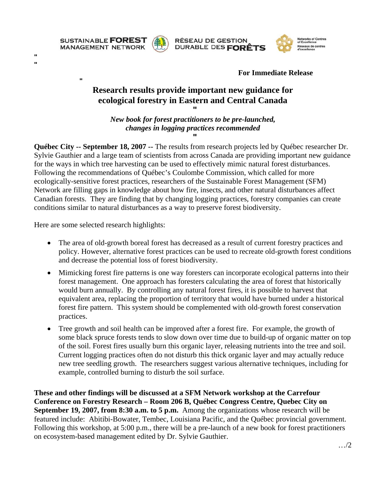

**"**

**" "**



**RÉSEAU DE GESTION** DURABLE DES FORÊTS



**For Immediate Release** 

## **Research results provide important new guidance for ecological forestry in Eastern and Central Canada**

**"** *New book for forest practitioners to be pre-launched, changes in logging practices recommended*  **"**

**Québec City -- September 18, 2007 --** The results from research projects led by Québec researcher Dr. Sylvie Gauthier and a large team of scientists from across Canada are providing important new guidance for the ways in which tree harvesting can be used to effectively mimic natural forest disturbances. Following the recommendations of Québec's Coulombe Commission, which called for more ecologically-sensitive forest practices, researchers of the Sustainable Forest Management (SFM) Network are filling gaps in knowledge about how fire, insects, and other natural disturbances affect Canadian forests. They are finding that by changing logging practices, forestry companies can create conditions similar to natural disturbances as a way to preserve forest biodiversity.

Here are some selected research highlights:

- The area of old-growth boreal forest has decreased as a result of current forestry practices and policy. However, alternative forest practices can be used to recreate old-growth forest conditions and decrease the potential loss of forest biodiversity.
- Mimicking forest fire patterns is one way foresters can incorporate ecological patterns into their forest management. One approach has foresters calculating the area of forest that historically would burn annually. By controlling any natural forest fires, it is possible to harvest that equivalent area, replacing the proportion of territory that would have burned under a historical forest fire pattern. This system should be complemented with old-growth forest conservation practices.
- Tree growth and soil health can be improved after a forest fire. For example, the growth of some black spruce forests tends to slow down over time due to build-up of organic matter on top of the soil. Forest fires usually burn this organic layer, releasing nutrients into the tree and soil. Current logging practices often do not disturb this thick organic layer and may actually reduce new tree seedling growth. The researchers suggest various alternative techniques, including for example, controlled burning to disturb the soil surface.

**These and other findings will be discussed at a SFM Network workshop at the Carrefour Conference on Forestry Research – Room 206 B, Québec Congress Centre, Quebec City on September 19, 2007, from 8:30 a.m. to 5 p.m.** Among the organizations whose research will be featured include: Abitibi-Bowater, Tembec, Louisiana Pacific, and the Québec provincial government. Following this workshop, at 5:00 p.m., there will be a pre-launch of a new book for forest practitioners on ecosystem-based management edited by Dr. Sylvie Gauthier.